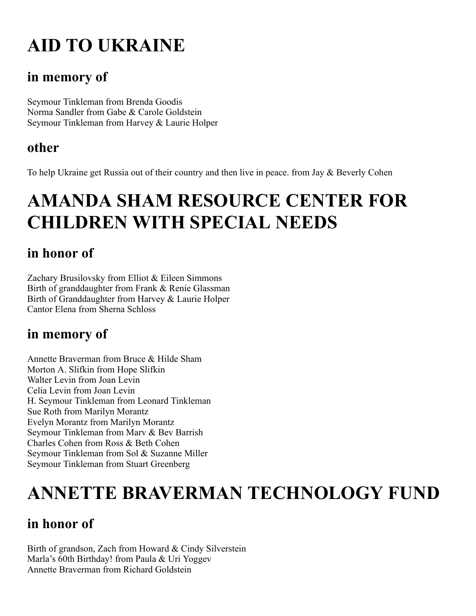# **AID TO UKRAINE**

### **in memory of**

Seymour Tinkleman from Brenda Goodis Norma Sandler from Gabe & Carole Goldstein Seymour Tinkleman from Harvey & Laurie Holper

### **other**

To help Ukraine get Russia out of their country and then live in peace. from Jay & Beverly Cohen

## **AMANDA SHAM RESOURCE CENTER FOR CHILDREN WITH SPECIAL NEEDS**

## **in honor of**

Zachary Brusilovsky from Elliot & Eileen Simmons Birth of granddaughter from Frank & Renie Glassman Birth of Granddaughter from Harvey & Laurie Holper Cantor Elena from Sherna Schloss

## **in memory of**

Annette Braverman from Bruce & Hilde Sham Morton A. Slifkin from Hope Slifkin Walter Levin from Joan Levin Celia Levin from Joan Levin H. Seymour Tinkleman from Leonard Tinkleman Sue Roth from Marilyn Morantz Evelyn Morantz from Marilyn Morantz Seymour Tinkleman from Marv & Bev Barrish Charles Cohen from Ross & Beth Cohen Seymour Tinkleman from Sol & Suzanne Miller Seymour Tinkleman from Stuart Greenberg

## **ANNETTE BRAVERMAN TECHNOLOGY FUND**

## **in honor of**

Birth of grandson, Zach from Howard & Cindy Silverstein Marla's 60th Birthday! from Paula & Uri Yoggev Annette Braverman from Richard Goldstein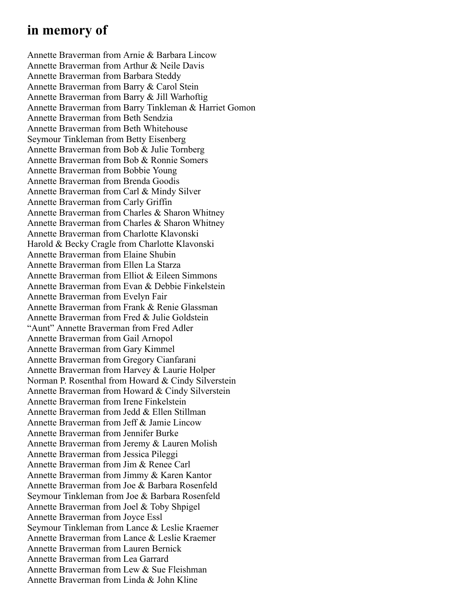#### **in memory of**

Annette Braverman from Arnie & Barbara Lincow Annette Braverman from Arthur & Neile Davis Annette Braverman from Barbara Steddy Annette Braverman from Barry & Carol Stein Annette Braverman from Barry & Jill Warhoftig Annette Braverman from Barry Tinkleman & Harriet Gomon Annette Braverman from Beth Sendzia Annette Braverman from Beth Whitehouse Seymour Tinkleman from Betty Eisenberg Annette Braverman from Bob & Julie Tornberg Annette Braverman from Bob & Ronnie Somers Annette Braverman from Bobbie Young Annette Braverman from Brenda Goodis Annette Braverman from Carl & Mindy Silver Annette Braverman from Carly Griffin Annette Braverman from Charles & Sharon Whitney Annette Braverman from Charles & Sharon Whitney Annette Braverman from Charlotte Klavonski Harold & Becky Cragle from Charlotte Klavonski Annette Braverman from Elaine Shubin Annette Braverman from Ellen La Starza Annette Braverman from Elliot & Eileen Simmons Annette Braverman from Evan & Debbie Finkelstein Annette Braverman from Evelyn Fair Annette Braverman from Frank & Renie Glassman Annette Braverman from Fred & Julie Goldstein "Aunt" Annette Braverman from Fred Adler Annette Braverman from Gail Arnopol Annette Braverman from Gary Kimmel Annette Braverman from Gregory Cianfarani Annette Braverman from Harvey & Laurie Holper Norman P. Rosenthal from Howard & Cindy Silverstein Annette Braverman from Howard & Cindy Silverstein Annette Braverman from Irene Finkelstein Annette Braverman from Jedd & Ellen Stillman Annette Braverman from Jeff & Jamie Lincow Annette Braverman from Jennifer Burke Annette Braverman from Jeremy & Lauren Molish Annette Braverman from Jessica Pileggi Annette Braverman from Jim & Renee Carl Annette Braverman from Jimmy & Karen Kantor Annette Braverman from Joe & Barbara Rosenfeld Seymour Tinkleman from Joe & Barbara Rosenfeld Annette Braverman from Joel & Toby Shpigel Annette Braverman from Joyce Essl Seymour Tinkleman from Lance & Leslie Kraemer Annette Braverman from Lance & Leslie Kraemer Annette Braverman from Lauren Bernick Annette Braverman from Lea Garrard Annette Braverman from Lew & Sue Fleishman Annette Braverman from Linda & John Kline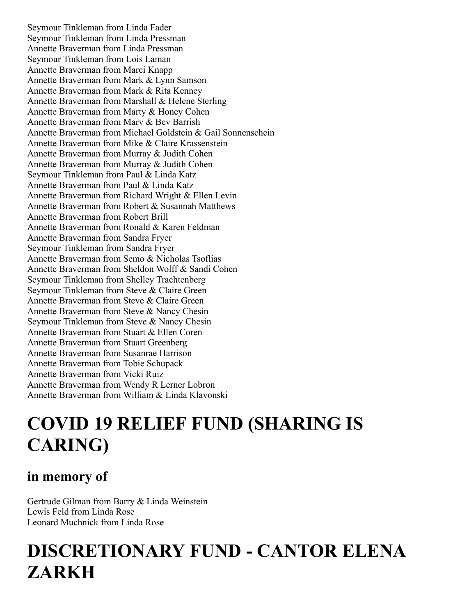Seymour Tinkleman from Linda Fader Seymour Tinkleman from Linda Pressman Annette Braverman from Linda Pressman Seymour Tinkleman from Lois Laman Annette Braverman from Marci Knapp Annette Braverman from Mark & Lynn Samson Annette Braverman from Mark & Rita Kenney Annette Braverman from Marshall & Helene Sterling Annette Braverman from Marty & Honey Cohen Annette Braverman from Marv & Bev Barrish Annette Braverman from Michael Goldstein & Gail Sonnenschein Annette Braverman from Mike & Claire Krassenstein Annette Braverman from Murray & Judith Cohen Annette Braverman from Murray & Judith Cohen Seymour Tinkleman from Paul & Linda Katz Annette Braverman from Paul & Linda Katz Annette Braverman from Richard Wright & Ellen Levin Annette Braverman from Robert & Susannah Matthews Annette Braverman from Robert Brill Annette Braverman from Ronald & Karen Feldman Annette Braverman from Sandra Fryer Seymour Tinkleman from Sandra Fryer Annette Braverman from Semo & Nicholas Tsoflias Annette Braverman from Sheldon Wolff & Sandi Cohen Seymour Tinkleman from Shelley Trachtenberg Seymour Tinkleman from Steve & Claire Green Annette Braverman from Steve & Claire Green Annette Braverman from Steve & Nancy Chesin Seymour Tinkleman from Steve & Nancy Chesin Annette Braverman from Stuart & Ellen Coren Annette Braverman from Stuart Greenberg Annette Braverman from Susanrae Harrison Annette Braverman from Tobie Schupack Annette Braverman from Vicki Ruiz Annette Braverman from Wendy R Lerner Lobron Annette Braverman from William & Linda Klavonski

## **COVID 19 RELIEF FUND (SHARING IS CARING)**

#### **in memory of**

Gertrude Gilman from Barry & Linda Weinstein Lewis Feld from Linda Rose Leonard Muchnick from Linda Rose

## **DISCRETIONARY FUND - CANTOR ELENA ZARKH**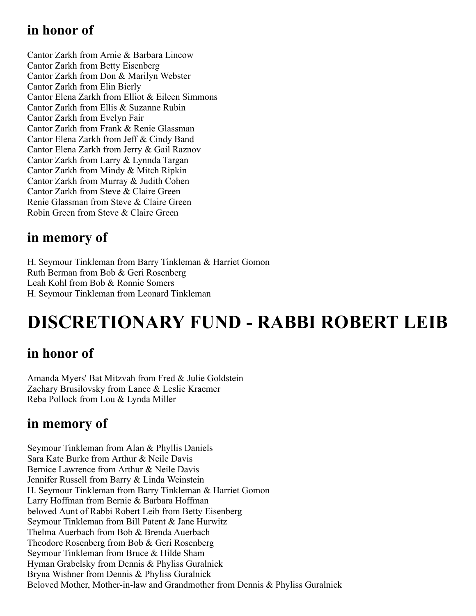## **in honor of**

Cantor Zarkh from Arnie & Barbara Lincow Cantor Zarkh from Betty Eisenberg Cantor Zarkh from Don & Marilyn Webster Cantor Zarkh from Elin Bierly Cantor Elena Zarkh from Elliot & Eileen Simmons Cantor Zarkh from Ellis & Suzanne Rubin Cantor Zarkh from Evelyn Fair Cantor Zarkh from Frank & Renie Glassman Cantor Elena Zarkh from Jeff & Cindy Band Cantor Elena Zarkh from Jerry & Gail Raznov Cantor Zarkh from Larry & Lynnda Targan Cantor Zarkh from Mindy & Mitch Ripkin Cantor Zarkh from Murray & Judith Cohen Cantor Zarkh from Steve & Claire Green Renie Glassman from Steve & Claire Green Robin Green from Steve & Claire Green

#### **in memory of**

H. Seymour Tinkleman from Barry Tinkleman & Harriet Gomon Ruth Berman from Bob & Geri Rosenberg Leah Kohl from Bob & Ronnie Somers H. Seymour Tinkleman from Leonard Tinkleman

# **DISCRETIONARY FUND - RABBI ROBERT LEIB**

## **in honor of**

Amanda Myers' Bat Mitzvah from Fred & Julie Goldstein Zachary Brusilovsky from Lance & Leslie Kraemer Reba Pollock from Lou & Lynda Miller

#### **in memory of**

Seymour Tinkleman from Alan & Phyllis Daniels Sara Kate Burke from Arthur & Neile Davis Bernice Lawrence from Arthur & Neile Davis Jennifer Russell from Barry & Linda Weinstein H. Seymour Tinkleman from Barry Tinkleman & Harriet Gomon Larry Hoffman from Bernie & Barbara Hoffman beloved Aunt of Rabbi Robert Leib from Betty Eisenberg Seymour Tinkleman from Bill Patent & Jane Hurwitz Thelma Auerbach from Bob & Brenda Auerbach Theodore Rosenberg from Bob & Geri Rosenberg Seymour Tinkleman from Bruce & Hilde Sham Hyman Grabelsky from Dennis & Phyliss Guralnick Bryna Wishner from Dennis & Phyliss Guralnick Beloved Mother, Mother-in-law and Grandmother from Dennis & Phyliss Guralnick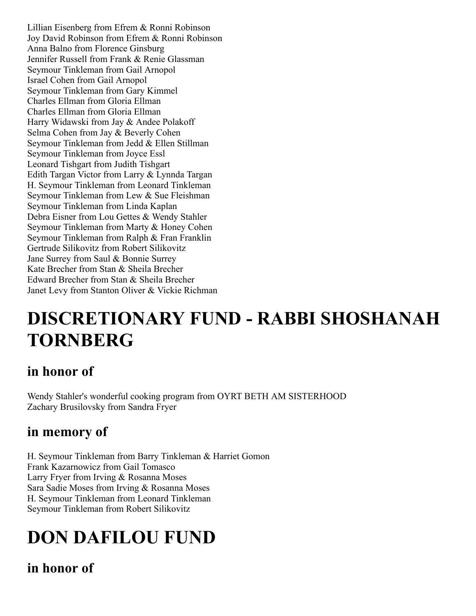Lillian Eisenberg from Efrem & Ronni Robinson Joy David Robinson from Efrem & Ronni Robinson Anna Balno from Florence Ginsburg Jennifer Russell from Frank & Renie Glassman Seymour Tinkleman from Gail Arnopol Israel Cohen from Gail Arnopol Seymour Tinkleman from Gary Kimmel Charles Ellman from Gloria Ellman Charles Ellman from Gloria Ellman Harry Widawski from Jay & Andee Polakoff Selma Cohen from Jay & Beverly Cohen Seymour Tinkleman from Jedd & Ellen Stillman Seymour Tinkleman from Joyce Essl Leonard Tishgart from Judith Tishgart Edith Targan Victor from Larry & Lynnda Targan H. Seymour Tinkleman from Leonard Tinkleman Seymour Tinkleman from Lew & Sue Fleishman Seymour Tinkleman from Linda Kaplan Debra Eisner from Lou Gettes & Wendy Stahler Seymour Tinkleman from Marty & Honey Cohen Seymour Tinkleman from Ralph & Fran Franklin Gertrude Silikovitz from Robert Silikovitz Jane Surrey from Saul & Bonnie Surrey Kate Brecher from Stan & Sheila Brecher Edward Brecher from Stan & Sheila Brecher Janet Levy from Stanton Oliver & Vickie Richman

## **DISCRETIONARY FUND - RABBI SHOSHANAH TORNBERG**

### **in honor of**

Wendy Stahler's wonderful cooking program from OYRT BETH AM SISTERHOOD Zachary Brusilovsky from Sandra Fryer

## **in memory of**

H. Seymour Tinkleman from Barry Tinkleman & Harriet Gomon Frank Kazarnowicz from Gail Tomasco Larry Fryer from Irving & Rosanna Moses Sara Sadie Moses from Irving & Rosanna Moses H. Seymour Tinkleman from Leonard Tinkleman Seymour Tinkleman from Robert Silikovitz

# **DON DAFILOU FUND**

**in honor of**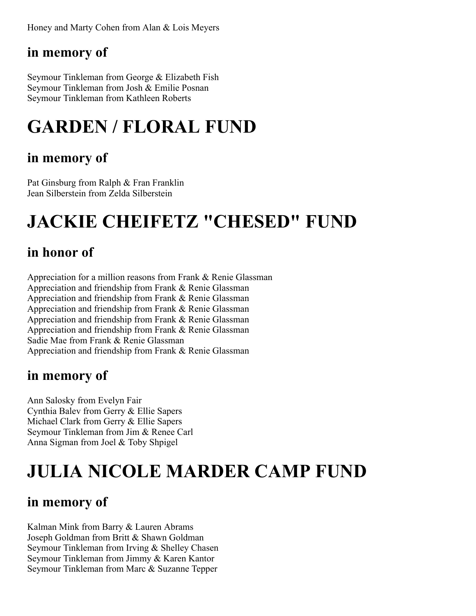Honey and Marty Cohen from Alan & Lois Meyers

### **in memory of**

Seymour Tinkleman from George & Elizabeth Fish Seymour Tinkleman from Josh & Emilie Posnan Seymour Tinkleman from Kathleen Roberts

# **GARDEN / FLORAL FUND**

#### **in memory of**

Pat Ginsburg from Ralph & Fran Franklin Jean Silberstein from Zelda Silberstein

# **JACKIE CHEIFETZ "CHESED" FUND**

### **in honor of**

Appreciation for a million reasons from Frank & Renie Glassman Appreciation and friendship from Frank & Renie Glassman Appreciation and friendship from Frank & Renie Glassman Appreciation and friendship from Frank & Renie Glassman Appreciation and friendship from Frank & Renie Glassman Appreciation and friendship from Frank & Renie Glassman Sadie Mae from Frank & Renie Glassman Appreciation and friendship from Frank & Renie Glassman

#### **in memory of**

Ann Salosky from Evelyn Fair Cynthia Balev from Gerry & Ellie Sapers Michael Clark from Gerry & Ellie Sapers Seymour Tinkleman from Jim & Renee Carl Anna Sigman from Joel & Toby Shpigel

# **JULIA NICOLE MARDER CAMP FUND**

## **in memory of**

Kalman Mink from Barry & Lauren Abrams Joseph Goldman from Britt & Shawn Goldman Seymour Tinkleman from Irving & Shelley Chasen Seymour Tinkleman from Jimmy & Karen Kantor Seymour Tinkleman from Marc & Suzanne Tepper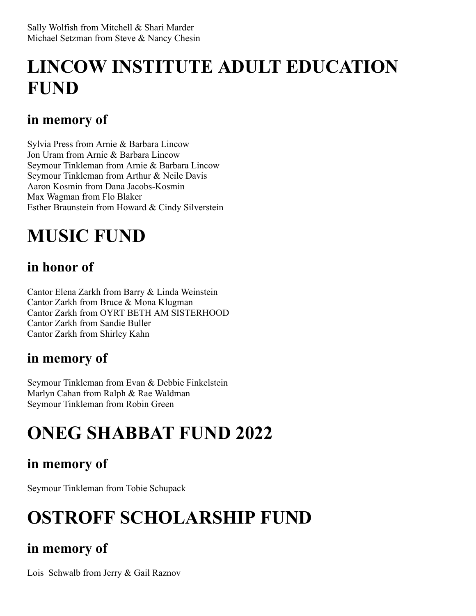## **LINCOW INSTITUTE ADULT EDUCATION FUND**

## **in memory of**

Sylvia Press from Arnie & Barbara Lincow Jon Uram from Arnie & Barbara Lincow Seymour Tinkleman from Arnie & Barbara Lincow Seymour Tinkleman from Arthur & Neile Davis Aaron Kosmin from Dana Jacobs-Kosmin Max Wagman from Flo Blaker Esther Braunstein from Howard & Cindy Silverstein

## **MUSIC FUND**

## **in honor of**

Cantor Elena Zarkh from Barry & Linda Weinstein Cantor Zarkh from Bruce & Mona Klugman Cantor Zarkh from OYRT BETH AM SISTERHOOD Cantor Zarkh from Sandie Buller Cantor Zarkh from Shirley Kahn

## **in memory of**

Seymour Tinkleman from Evan & Debbie Finkelstein Marlyn Cahan from Ralph & Rae Waldman Seymour Tinkleman from Robin Green

## **ONEG SHABBAT FUND 2022**

## **in memory of**

Seymour Tinkleman from Tobie Schupack

## **OSTROFF SCHOLARSHIP FUND**

## **in memory of**

Lois Schwalb from Jerry & Gail Raznov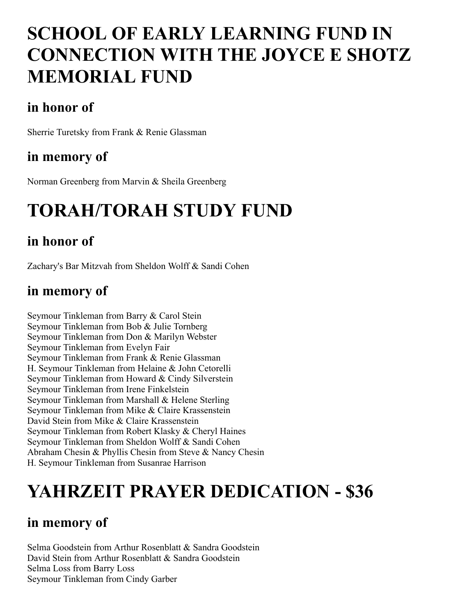## **SCHOOL OF EARLY LEARNING FUND IN CONNECTION WITH THE JOYCE E SHOTZ MEMORIAL FUND**

## **in honor of**

Sherrie Turetsky from Frank & Renie Glassman

### **in memory of**

Norman Greenberg from Marvin & Sheila Greenberg

# **TORAH/TORAH STUDY FUND**

## **in honor of**

Zachary's Bar Mitzvah from Sheldon Wolff & Sandi Cohen

### **in memory of**

Seymour Tinkleman from Barry & Carol Stein Seymour Tinkleman from Bob & Julie Tornberg Seymour Tinkleman from Don & Marilyn Webster Seymour Tinkleman from Evelyn Fair Seymour Tinkleman from Frank & Renie Glassman H. Seymour Tinkleman from Helaine & John Cetorelli Seymour Tinkleman from Howard & Cindy Silverstein Seymour Tinkleman from Irene Finkelstein Seymour Tinkleman from Marshall & Helene Sterling Seymour Tinkleman from Mike & Claire Krassenstein David Stein from Mike & Claire Krassenstein Seymour Tinkleman from Robert Klasky & Cheryl Haines Seymour Tinkleman from Sheldon Wolff & Sandi Cohen Abraham Chesin & Phyllis Chesin from Steve & Nancy Chesin H. Seymour Tinkleman from Susanrae Harrison

## **YAHRZEIT PRAYER DEDICATION - \$36**

### **in memory of**

Selma Goodstein from Arthur Rosenblatt & Sandra Goodstein David Stein from Arthur Rosenblatt & Sandra Goodstein Selma Loss from Barry Loss Seymour Tinkleman from Cindy Garber